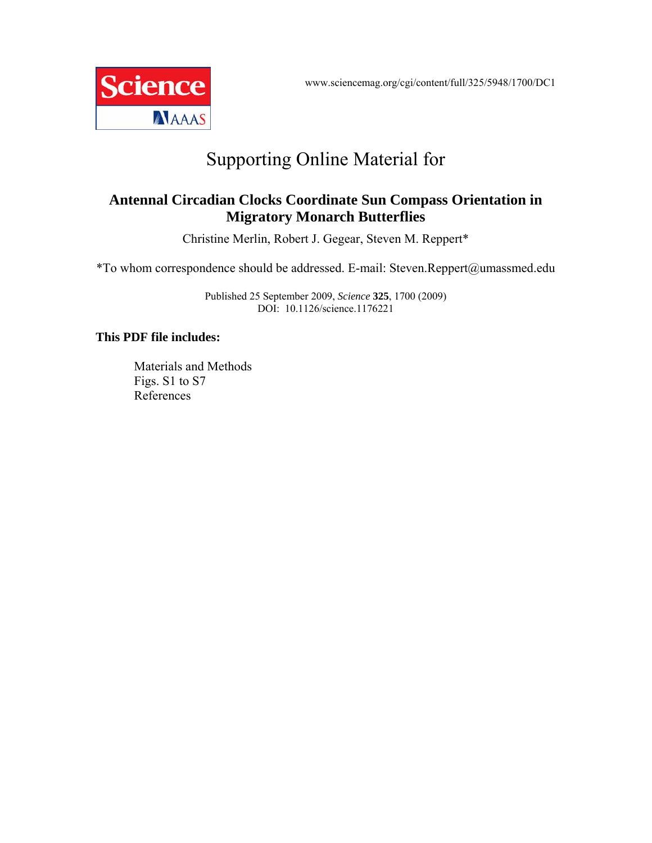www.sciencemag.org/cgi/content/full/325/5948/1700/DC1



# Supporting Online Material for

# **Antennal Circadian Clocks Coordinate Sun Compass Orientation in Migratory Monarch Butterflies**

Christine Merlin, Robert J. Gegear, Steven M. Reppert\*

\*To whom correspondence should be addressed. E-mail: Steven.Reppert@umassmed.edu

Published 25 September 2009, *Science* **325**, 1700 (2009) DOI: 10.1126/science.1176221

# **This PDF file includes:**

Materials and Methods Figs. S1 to S7 References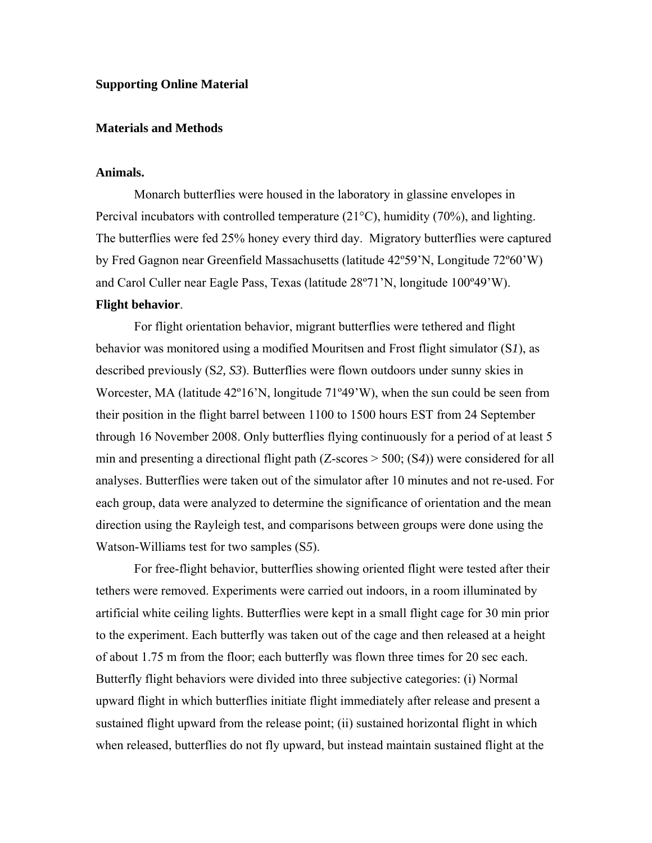### **Supporting Online Material**

#### **Materials and Methods**

#### **Animals.**

Monarch butterflies were housed in the laboratory in glassine envelopes in Percival incubators with controlled temperature (21°C), humidity (70%), and lighting. The butterflies were fed 25% honey every third day. Migratory butterflies were captured by Fred Gagnon near Greenfield Massachusetts (latitude 42º59'N, Longitude 72º60'W) and Carol Culler near Eagle Pass, Texas (latitude 28º71'N, longitude 100º49'W).

# **Flight behavior**.

For flight orientation behavior, migrant butterflies were tethered and flight behavior was monitored using a modified Mouritsen and Frost flight simulator (S*1*), as described previously (S*2, S3*). Butterflies were flown outdoors under sunny skies in Worcester, MA (latitude 42º16'N, longitude 71º49'W), when the sun could be seen from their position in the flight barrel between 1100 to 1500 hours EST from 24 September through 16 November 2008. Only butterflies flying continuously for a period of at least 5 min and presenting a directional flight path (Z-scores > 500; (S*4*)) were considered for all analyses. Butterflies were taken out of the simulator after 10 minutes and not re-used. For each group, data were analyzed to determine the significance of orientation and the mean direction using the Rayleigh test, and comparisons between groups were done using the Watson-Williams test for two samples (S*5*).

For free-flight behavior, butterflies showing oriented flight were tested after their tethers were removed. Experiments were carried out indoors, in a room illuminated by artificial white ceiling lights. Butterflies were kept in a small flight cage for 30 min prior to the experiment. Each butterfly was taken out of the cage and then released at a height of about 1.75 m from the floor; each butterfly was flown three times for 20 sec each. Butterfly flight behaviors were divided into three subjective categories: (i) Normal upward flight in which butterflies initiate flight immediately after release and present a sustained flight upward from the release point; (ii) sustained horizontal flight in which when released, butterflies do not fly upward, but instead maintain sustained flight at the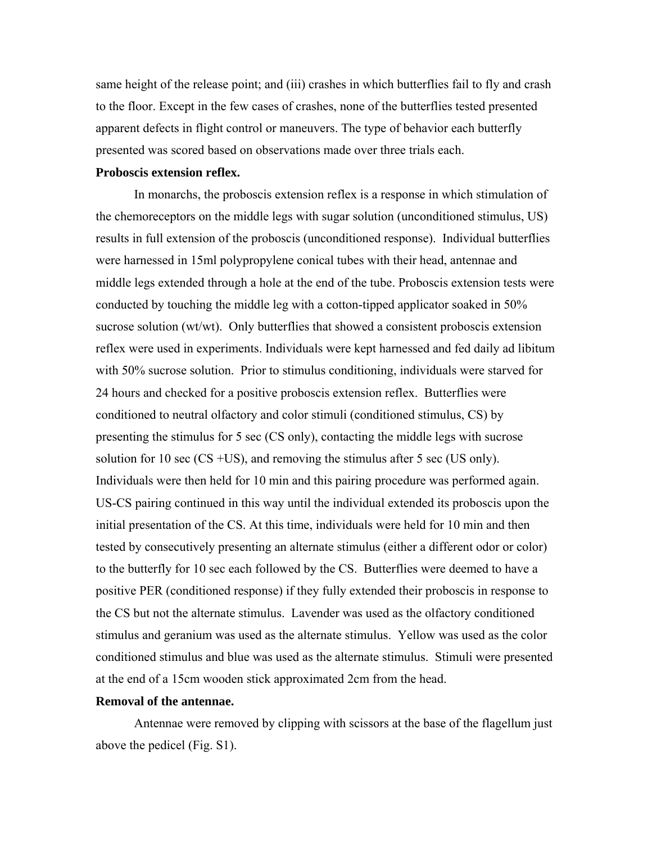same height of the release point; and (iii) crashes in which butterflies fail to fly and crash to the floor. Except in the few cases of crashes, none of the butterflies tested presented apparent defects in flight control or maneuvers. The type of behavior each butterfly presented was scored based on observations made over three trials each.

### **Proboscis extension reflex.**

In monarchs, the proboscis extension reflex is a response in which stimulation of the chemoreceptors on the middle legs with sugar solution (unconditioned stimulus, US) results in full extension of the proboscis (unconditioned response). Individual butterflies were harnessed in 15ml polypropylene conical tubes with their head, antennae and middle legs extended through a hole at the end of the tube. Proboscis extension tests were conducted by touching the middle leg with a cotton-tipped applicator soaked in 50% sucrose solution (wt/wt). Only butterflies that showed a consistent proboscis extension reflex were used in experiments. Individuals were kept harnessed and fed daily ad libitum with 50% sucrose solution. Prior to stimulus conditioning, individuals were starved for 24 hours and checked for a positive proboscis extension reflex. Butterflies were conditioned to neutral olfactory and color stimuli (conditioned stimulus, CS) by presenting the stimulus for 5 sec (CS only), contacting the middle legs with sucrose solution for 10 sec (CS +US), and removing the stimulus after 5 sec (US only). Individuals were then held for 10 min and this pairing procedure was performed again. US-CS pairing continued in this way until the individual extended its proboscis upon the initial presentation of the CS. At this time, individuals were held for 10 min and then tested by consecutively presenting an alternate stimulus (either a different odor or color) to the butterfly for 10 sec each followed by the CS. Butterflies were deemed to have a positive PER (conditioned response) if they fully extended their proboscis in response to the CS but not the alternate stimulus. Lavender was used as the olfactory conditioned stimulus and geranium was used as the alternate stimulus. Yellow was used as the color conditioned stimulus and blue was used as the alternate stimulus. Stimuli were presented at the end of a 15cm wooden stick approximated 2cm from the head.

## **Removal of the antennae.**

Antennae were removed by clipping with scissors at the base of the flagellum just above the pedicel (Fig. S1).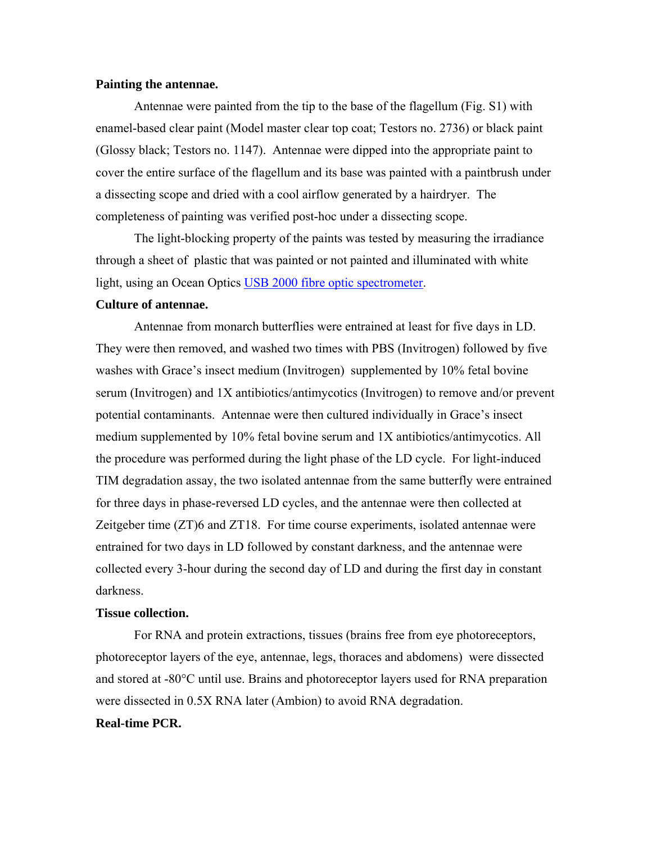#### **Painting the antennae.**

Antennae were painted from the tip to the base of the flagellum (Fig. S1) with enamel-based clear paint (Model master clear top coat; Testors no. 2736) or black paint (Glossy black; Testors no. 1147). Antennae were dipped into the appropriate paint to cover the entire surface of the flagellum and its base was painted with a paintbrush under a dissecting scope and dried with a cool airflow generated by a hairdryer. The completeness of painting was verified post-hoc under a dissecting scope.

The light-blocking property of the paints was tested by measuring the irradiance through a sheet of plastic that was painted or not painted and illuminated with white light, using an Ocean Optics USB 2000 fibre optic spectrometer.

# **Culture of antennae.**

Antennae from monarch butterflies were entrained at least for five days in LD. They were then removed, and washed two times with PBS (Invitrogen) followed by five washes with Grace's insect medium (Invitrogen) supplemented by 10% fetal bovine serum (Invitrogen) and 1X antibiotics/antimycotics (Invitrogen) to remove and/or prevent potential contaminants. Antennae were then cultured individually in Grace's insect medium supplemented by 10% fetal bovine serum and 1X antibiotics/antimycotics. All the procedure was performed during the light phase of the LD cycle. For light-induced TIM degradation assay, the two isolated antennae from the same butterfly were entrained for three days in phase-reversed LD cycles, and the antennae were then collected at Zeitgeber time (ZT)6 and ZT18. For time course experiments, isolated antennae were entrained for two days in LD followed by constant darkness, and the antennae were collected every 3-hour during the second day of LD and during the first day in constant darkness.

#### **Tissue collection.**

For RNA and protein extractions, tissues (brains free from eye photoreceptors, photoreceptor layers of the eye, antennae, legs, thoraces and abdomens) were dissected and stored at -80°C until use. Brains and photoreceptor layers used for RNA preparation were dissected in 0.5X RNA later (Ambion) to avoid RNA degradation.

#### **Real-time PCR.**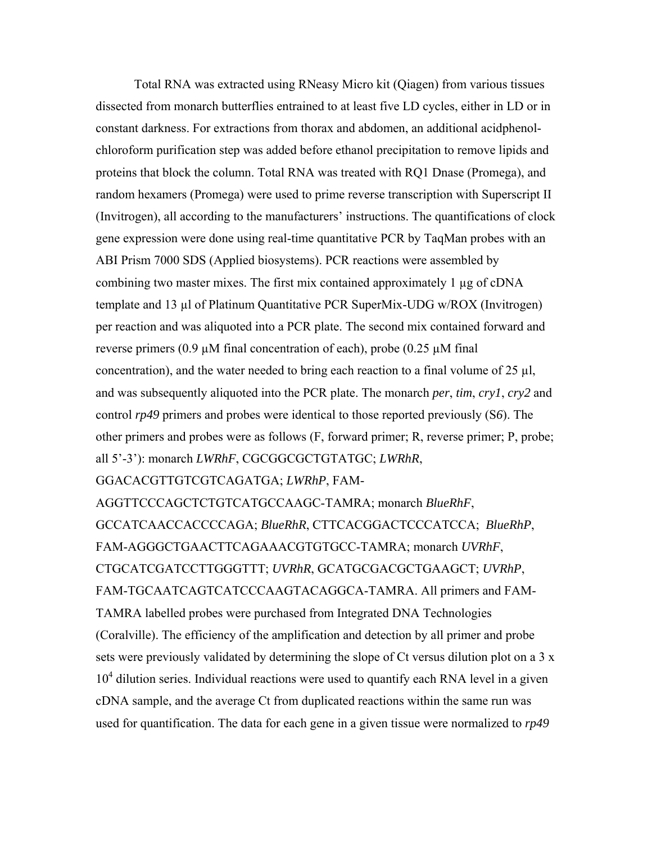Total RNA was extracted using RNeasy Micro kit (Qiagen) from various tissues dissected from monarch butterflies entrained to at least five LD cycles, either in LD or in constant darkness. For extractions from thorax and abdomen, an additional acidphenolchloroform purification step was added before ethanol precipitation to remove lipids and proteins that block the column. Total RNA was treated with RQ1 Dnase (Promega), and random hexamers (Promega) were used to prime reverse transcription with Superscript II (Invitrogen), all according to the manufacturers' instructions. The quantifications of clock gene expression were done using real-time quantitative PCR by TaqMan probes with an ABI Prism 7000 SDS (Applied biosystems). PCR reactions were assembled by combining two master mixes. The first mix contained approximately 1 µg of cDNA template and 13 µl of Platinum Quantitative PCR SuperMix-UDG w/ROX (Invitrogen) per reaction and was aliquoted into a PCR plate. The second mix contained forward and reverse primers (0.9  $\mu$ M final concentration of each), probe (0.25  $\mu$ M final concentration), and the water needed to bring each reaction to a final volume of  $25 \mu l$ , and was subsequently aliquoted into the PCR plate. The monarch *per*, *tim*, *cry1*, *cry2* and control *rp49* primers and probes were identical to those reported previously (S*6*). The other primers and probes were as follows (F, forward primer; R, reverse primer; P, probe; all 5'-3'): monarch *LWRhF*, CGCGGCGCTGTATGC; *LWRhR*,

GGACACGTTGTCGTCAGATGA; *LWRhP*, FAM-

AGGTTCCCAGCTCTGTCATGCCAAGC-TAMRA; monarch *BlueRhF*, GCCATCAACCACCCCAGA; *BlueRhR*, CTTCACGGACTCCCATCCA; *BlueRhP*, FAM-AGGGCTGAACTTCAGAAACGTGTGCC-TAMRA; monarch *UVRhF*, CTGCATCGATCCTTGGGTTT; *UVRhR*, GCATGCGACGCTGAAGCT; *UVRhP*, FAM-TGCAATCAGTCATCCCAAGTACAGGCA-TAMRA. All primers and FAM-TAMRA labelled probes were purchased from Integrated DNA Technologies (Coralville). The efficiency of the amplification and detection by all primer and probe sets were previously validated by determining the slope of Ct versus dilution plot on a 3 x 10<sup>4</sup> dilution series. Individual reactions were used to quantify each RNA level in a given cDNA sample, and the average Ct from duplicated reactions within the same run was used for quantification. The data for each gene in a given tissue were normalized to *rp49*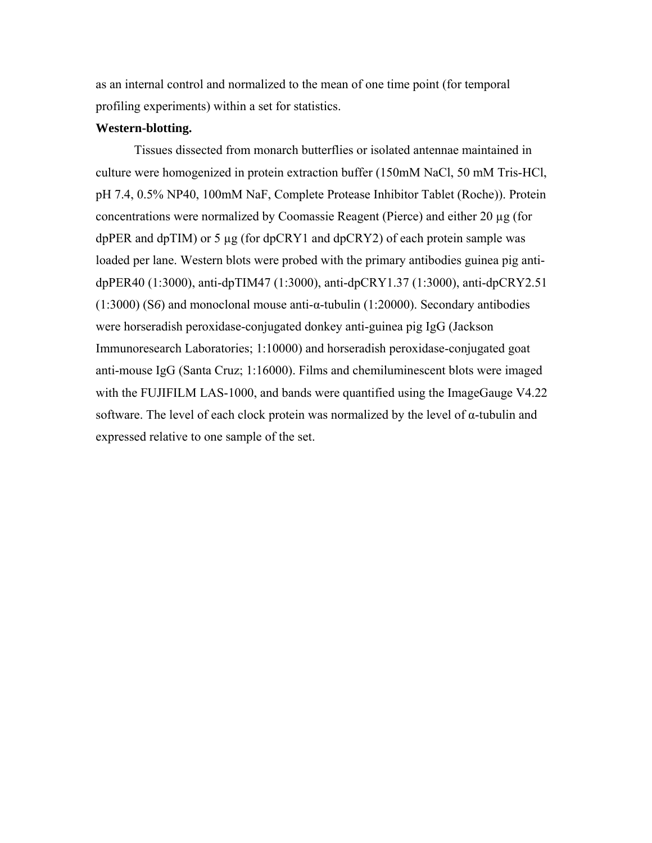as an internal control and normalized to the mean of one time point (for temporal profiling experiments) within a set for statistics.

#### **Western-blotting.**

Tissues dissected from monarch butterflies or isolated antennae maintained in culture were homogenized in protein extraction buffer (150mM NaCl, 50 mM Tris-HCl, pH 7.4, 0.5% NP40, 100mM NaF, Complete Protease Inhibitor Tablet (Roche)). Protein concentrations were normalized by Coomassie Reagent (Pierce) and either 20 µg (for dpPER and dpTIM) or 5  $\mu$ g (for dpCRY1 and dpCRY2) of each protein sample was loaded per lane. Western blots were probed with the primary antibodies guinea pig antidpPER40 (1:3000), anti-dpTIM47 (1:3000), anti-dpCRY1.37 (1:3000), anti-dpCRY2.51 (1:3000) (S*6*) and monoclonal mouse anti-α-tubulin (1:20000). Secondary antibodies were horseradish peroxidase-conjugated donkey anti-guinea pig IgG (Jackson Immunoresearch Laboratories; 1:10000) and horseradish peroxidase-conjugated goat anti-mouse IgG (Santa Cruz; 1:16000). Films and chemiluminescent blots were imaged with the FUJIFILM LAS-1000, and bands were quantified using the ImageGauge V4.22 software. The level of each clock protein was normalized by the level of  $\alpha$ -tubulin and expressed relative to one sample of the set.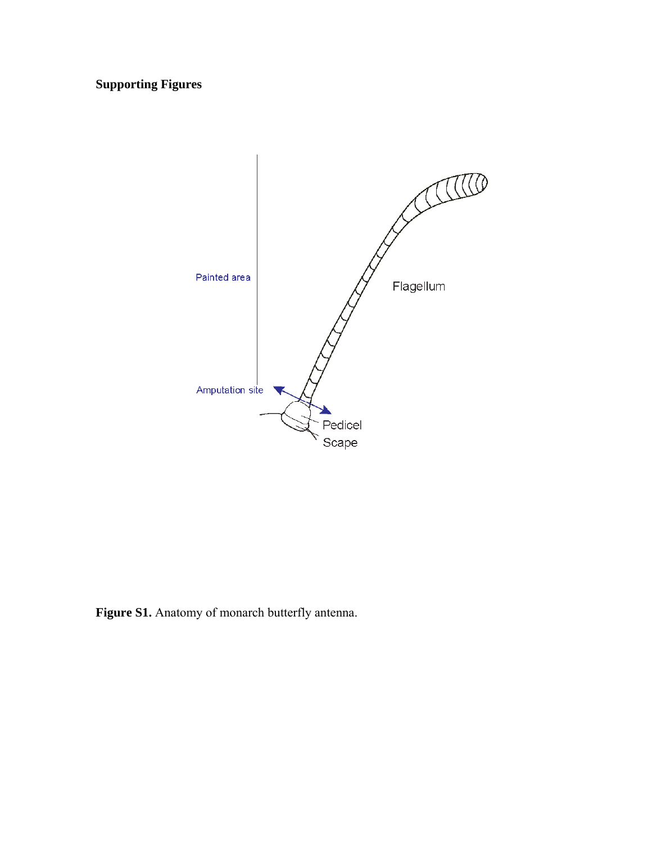**Supporting Figures** 



**Figure S1.** Anatomy of monarch butterfly antenna.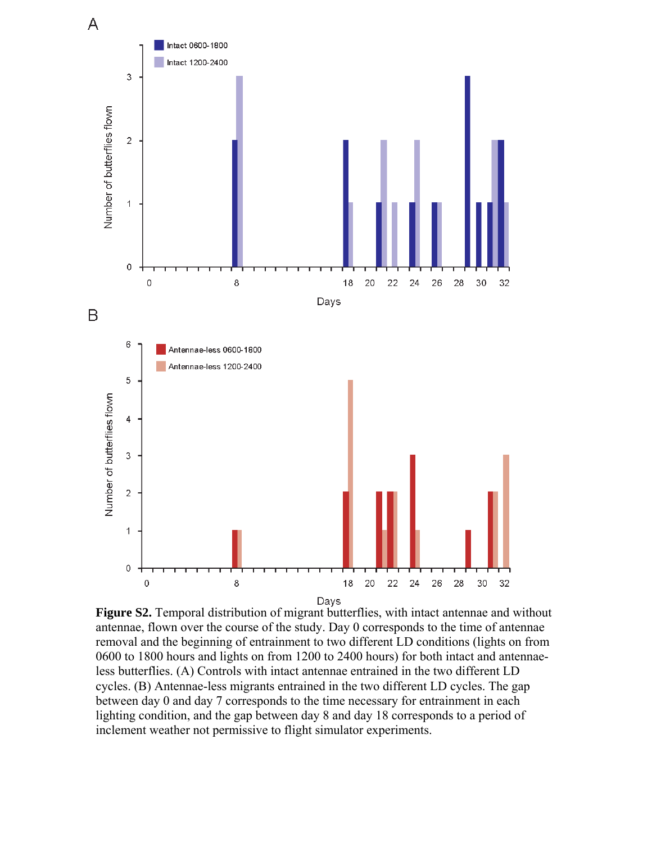

**Figure S2.** Temporal distribution of migrant butterflies, with intact antennae and without antennae, flown over the course of the study. Day 0 corresponds to the time of antennae removal and the beginning of entrainment to two different LD conditions (lights on from 0600 to 1800 hours and lights on from 1200 to 2400 hours) for both intact and antennaeless butterflies. (A) Controls with intact antennae entrained in the two different LD cycles. (B) Antennae-less migrants entrained in the two different LD cycles. The gap between day 0 and day 7 corresponds to the time necessary for entrainment in each lighting condition, and the gap between day 8 and day 18 corresponds to a period of inclement weather not permissive to flight simulator experiments.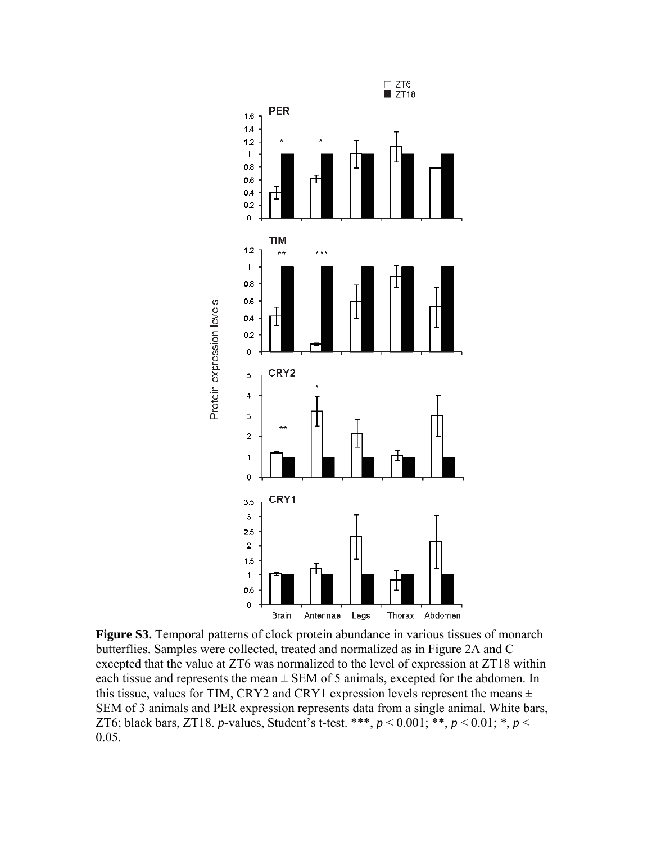

**Figure S3.** Temporal patterns of clock protein abundance in various tissues of monarch butterflies. Samples were collected, treated and normalized as in Figure 2A and C excepted that the value at ZT6 was normalized to the level of expression at ZT18 within each tissue and represents the mean  $\pm$  SEM of 5 animals, excepted for the abdomen. In this tissue, values for TIM, CRY2 and CRY1 expression levels represent the means  $\pm$ SEM of 3 animals and PER expression represents data from a single animal. White bars, ZT6; black bars, ZT18. *p*-values, Student's t-test. \*\*\*, *p* < 0.001; \*\*, *p* < 0.01; *\**, *p* < 0.05.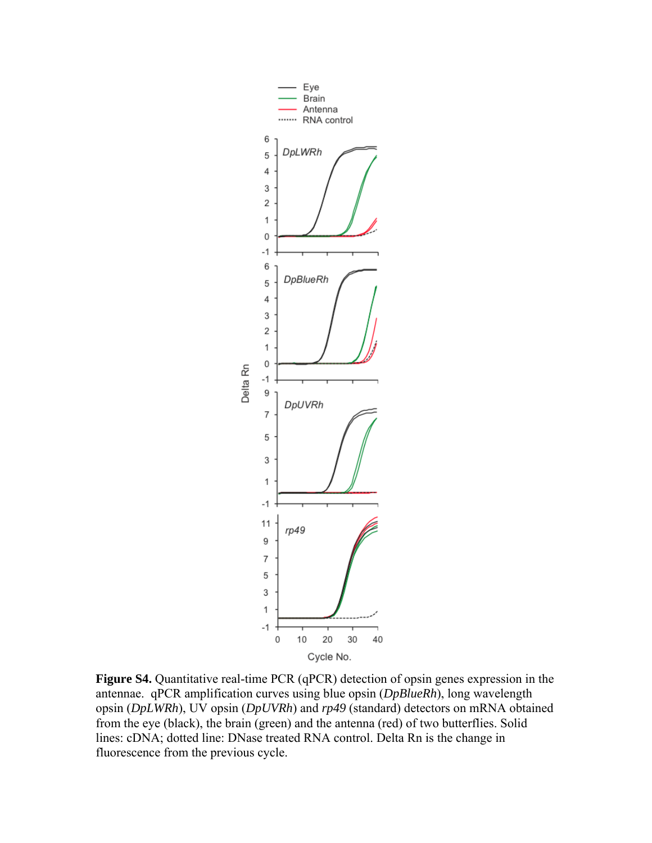

**Figure S4.** Quantitative real-time PCR (qPCR) detection of opsin genes expression in the antennae. qPCR amplification curves using blue opsin (*DpBlueRh*), long wavelength opsin (*DpLWRh*), UV opsin (*DpUVRh*) and *rp49* (standard) detectors on mRNA obtained from the eye (black), the brain (green) and the antenna (red) of two butterflies. Solid lines: cDNA; dotted line: DNase treated RNA control. Delta Rn is the change in fluorescence from the previous cycle.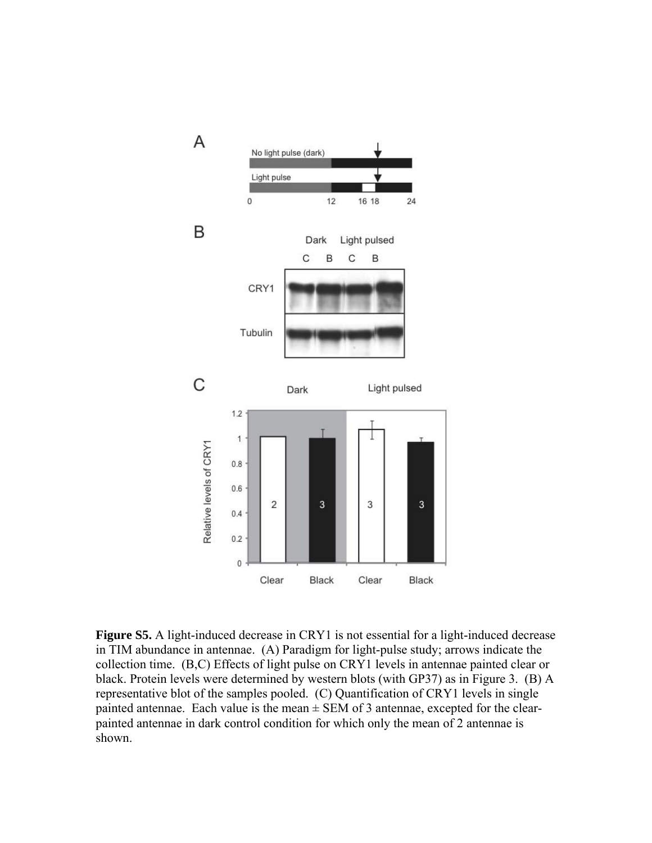

**Figure S5.** A light-induced decrease in CRY1 is not essential for a light-induced decrease in TIM abundance in antennae. (A) Paradigm for light-pulse study; arrows indicate the collection time. (B,C) Effects of light pulse on CRY1 levels in antennae painted clear or black. Protein levels were determined by western blots (with GP37) as in Figure 3. (B) A representative blot of the samples pooled. (C) Quantification of CRY1 levels in single painted antennae. Each value is the mean  $\pm$  SEM of 3 antennae, excepted for the clearpainted antennae in dark control condition for which only the mean of 2 antennae is shown.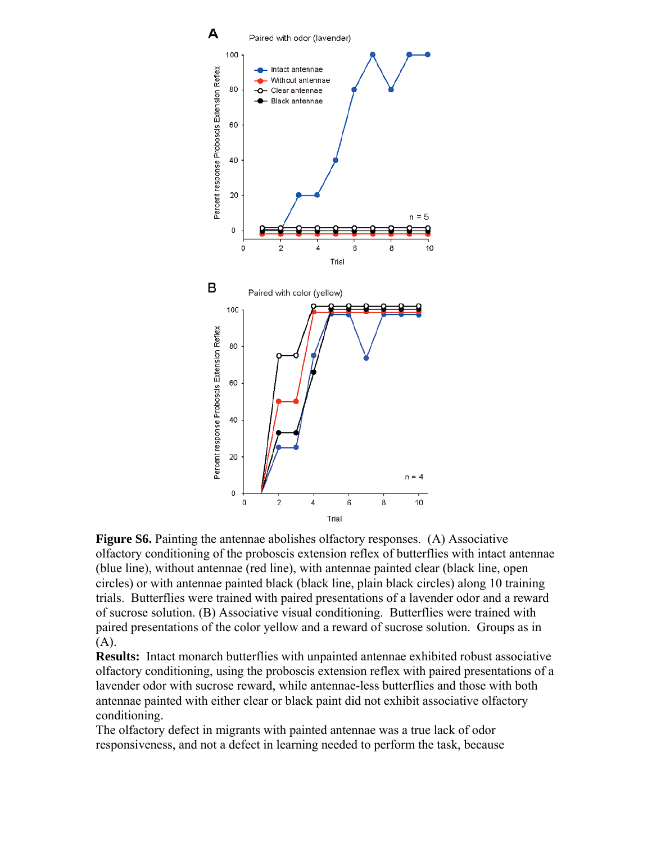

Figure S6. Painting the antennae abolishes olfactory responses. (A) Associative olfactory conditioning of the proboscis extension reflex of butterflies with intact antennae (blue line), without antennae (red line), with antennae painted clear (black line, open circles) or with antennae painted black (black line, plain black circles) along 10 training trials. Butterflies were trained with paired presentations of a lavender odor and a reward of sucrose solution. (B) Associative visual conditioning. Butterflies were trained with paired presentations of the color yellow and a reward of sucrose solution. Groups as in (A).

**Results:** Intact monarch butterflies with unpainted antennae exhibited robust associative olfactory conditioning, using the proboscis extension reflex with paired presentations of a lavender odor with sucrose reward, while antennae-less butterflies and those with both antennae painted with either clear or black paint did not exhibit associative olfactory conditioning.

The olfactory defect in migrants with painted antennae was a true lack of odor responsiveness, and not a defect in learning needed to perform the task, because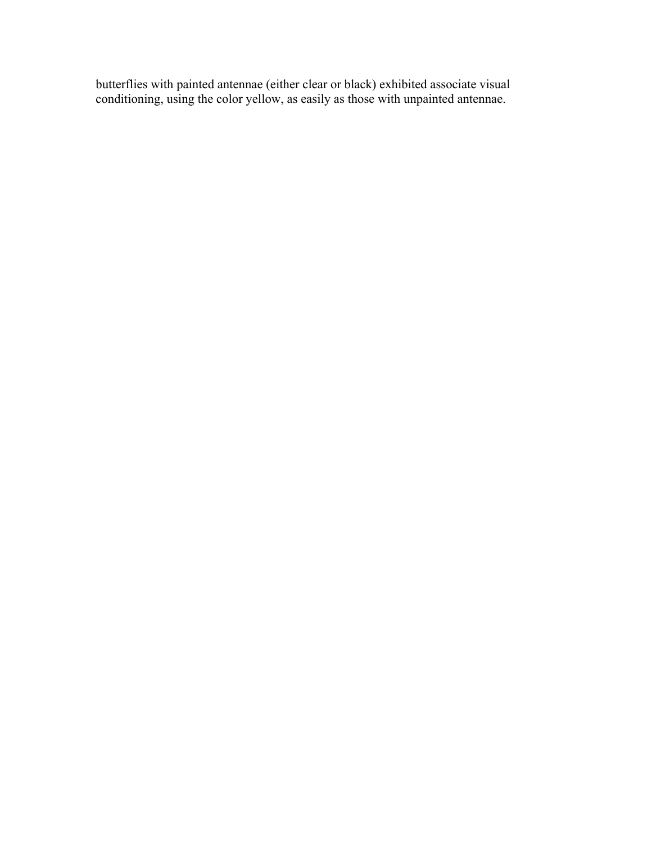butterflies with painted antennae (either clear or black) exhibited associate visual conditioning, using the color yellow, as easily as those with unpainted antennae.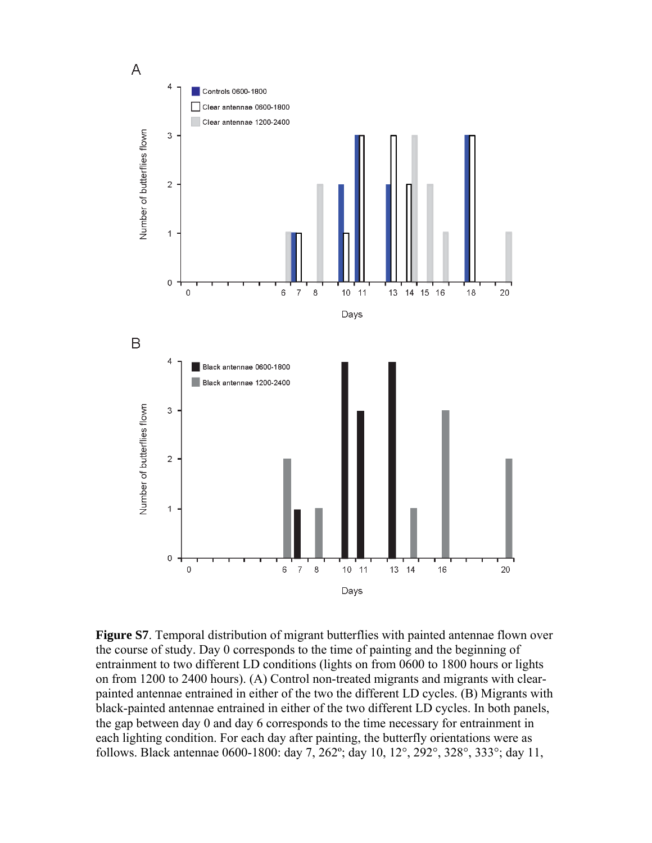

**Figure S7**. Temporal distribution of migrant butterflies with painted antennae flown over the course of study. Day 0 corresponds to the time of painting and the beginning of entrainment to two different LD conditions (lights on from 0600 to 1800 hours or lights on from 1200 to 2400 hours). (A) Control non-treated migrants and migrants with clearpainted antennae entrained in either of the two the different LD cycles. (B) Migrants with black-painted antennae entrained in either of the two different LD cycles. In both panels, the gap between day 0 and day 6 corresponds to the time necessary for entrainment in each lighting condition. For each day after painting, the butterfly orientations were as follows. Black antennae 0600-1800: day 7, 262º; day 10, 12°, 292°, 328°, 333°; day 11,